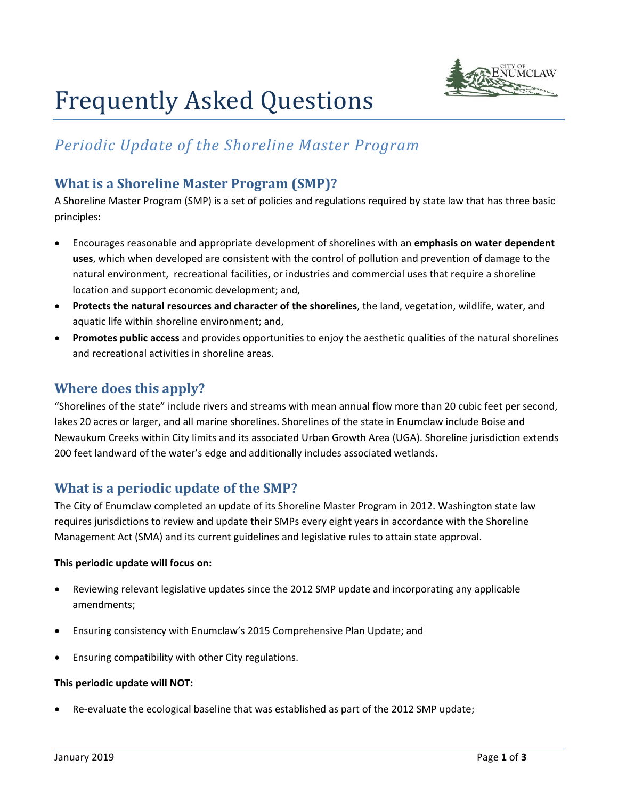

# Frequently Asked Questions

# *Periodic Update of the Shoreline Master Program*

# **What is a Shoreline Master Program (SMP)?**

A Shoreline Master Program (SMP) is a set of policies and regulations required by state law that has three basic principles:

- Encourages reasonable and appropriate development of shorelines with an **emphasis on water dependent uses**, which when developed are consistent with the control of pollution and prevention of damage to the natural environment, recreational facilities, or industries and commercial uses that require a shoreline location and support economic development; and,
- **Protects the natural resources and character of the shorelines**, the land, vegetation, wildlife, water, and aquatic life within shoreline environment; and,
- **Promotes public access** and provides opportunities to enjoy the aesthetic qualities of the natural shorelines and recreational activities in shoreline areas.

# **Where does this apply?**

"Shorelines of the state" include rivers and streams with mean annual flow more than 20 cubic feet per second, lakes 20 acres or larger, and all marine shorelines. Shorelines of the state in Enumclaw include Boise and Newaukum Creeks within City limits and its associated Urban Growth Area (UGA). Shoreline jurisdiction extends 200 feet landward of the water's edge and additionally includes associated wetlands.

# **What is a periodic update of the SMP?**

The City of Enumclaw completed an update of its Shoreline Master Program in 2012. Washington state law requires jurisdictions to review and update their SMPs every eight years in accordance with the Shoreline Management Act (SMA) and its current guidelines and legislative rules to attain state approval.

#### **This periodic update will focus on:**

- Reviewing relevant legislative updates since the 2012 SMP update and incorporating any applicable amendments;
- Ensuring consistency with Enumclaw's 2015 Comprehensive Plan Update; and
- Ensuring compatibility with other City regulations.

#### **This periodic update will NOT:**

Re-evaluate the ecological baseline that was established as part of the 2012 SMP update;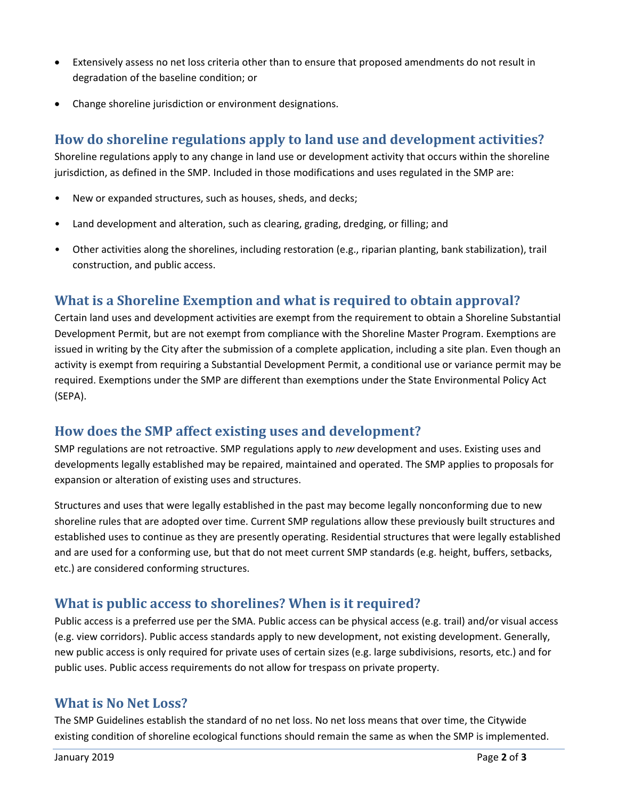- Extensively assess no net loss criteria other than to ensure that proposed amendments do not result in degradation of the baseline condition; or
- Change shoreline jurisdiction or environment designations.

# **How do shoreline regulations apply to land use and development activities?**

Shoreline regulations apply to any change in land use or development activity that occurs within the shoreline jurisdiction, as defined in the SMP. Included in those modifications and uses regulated in the SMP are:

- New or expanded structures, such as houses, sheds, and decks;
- Land development and alteration, such as clearing, grading, dredging, or filling; and
- Other activities along the shorelines, including restoration (e.g., riparian planting, bank stabilization), trail construction, and public access.

# **What is a Shoreline Exemption and what is required to obtain approval?**

Certain land uses and development activities are exempt from the requirement to obtain a Shoreline Substantial Development Permit, but are not exempt from compliance with the Shoreline Master Program. Exemptions are issued in writing by the City after the submission of a complete application, including a site plan. Even though an activity is exempt from requiring a Substantial Development Permit, a conditional use or variance permit may be required. Exemptions under the SMP are different than exemptions under the State Environmental Policy Act (SEPA).

## **How does the SMP affect existing uses and development?**

SMP regulations are not retroactive. SMP regulations apply to *new* development and uses. Existing uses and developments legally established may be repaired, maintained and operated. The SMP applies to proposals for expansion or alteration of existing uses and structures.

Structures and uses that were legally established in the past may become legally nonconforming due to new shoreline rules that are adopted over time. Current SMP regulations allow these previously built structures and established uses to continue as they are presently operating. Residential structures that were legally established and are used for a conforming use, but that do not meet current SMP standards (e.g. height, buffers, setbacks, etc.) are considered conforming structures.

## **What is public access to shorelines? When is it required?**

Public access is a preferred use per the SMA. Public access can be physical access (e.g. trail) and/or visual access (e.g. view corridors). Public access standards apply to new development, not existing development. Generally, new public access is only required for private uses of certain sizes (e.g. large subdivisions, resorts, etc.) and for public uses. Public access requirements do not allow for trespass on private property.

## **What is No Net Loss?**

The SMP Guidelines establish the standard of no net loss. No net loss means that over time, the Citywide existing condition of shoreline ecological functions should remain the same as when the SMP is implemented.